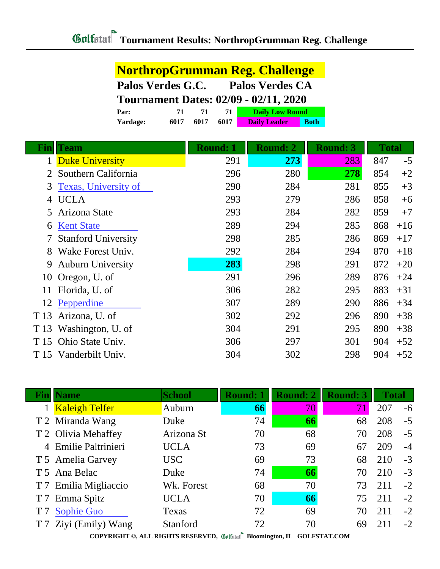|              |                             | <b>NorthropGrumman Reg. Challenge</b>        |                              |                     |                 |              |       |
|--------------|-----------------------------|----------------------------------------------|------------------------------|---------------------|-----------------|--------------|-------|
|              |                             | Palos Verdes G.C.<br><b>Palos Verdes CA</b>  |                              |                     |                 |              |       |
|              |                             | <b>Tournament Dates: 02/09 - 02/11, 2020</b> |                              |                     |                 |              |       |
|              | 71<br>Par:                  | 71                                           | 71<br><b>Daily Low Round</b> |                     |                 |              |       |
|              | 6017<br>Yardage:            | 6017                                         | 6017                         | <b>Daily Leader</b> | <b>Both</b>     |              |       |
|              |                             |                                              |                              |                     |                 |              |       |
| <u>Fin</u>   | <b>Team</b>                 |                                              | <b>Round: 1</b>              | <b>Round: 2</b>     | <b>Round: 3</b> | <b>Total</b> |       |
| $\mathbf{1}$ | <b>Duke University</b>      |                                              | 291                          | 273                 | 283             | 847          | $-5$  |
|              | Southern California         |                                              | 296                          | 280                 | 278             | 854          | $+2$  |
| 3            | <b>Texas, University of</b> |                                              | 290                          | 284                 | 281             | 855          | $+3$  |
| 4            | <b>UCLA</b>                 |                                              | 293                          | 279                 | 286             | 858          | $+6$  |
| 5            | Arizona State               |                                              | 293                          | 284                 | 282             | 859          | $+7$  |
| 6            | <b>Kent State</b>           |                                              | 289                          | 294                 | 285             | 868          | $+16$ |
| 7            | <b>Stanford University</b>  |                                              | 298                          | 285                 | 286             | 869          | $+17$ |
| 8            | Wake Forest Univ.           |                                              | 292                          | 284                 | 294             | 870          | $+18$ |
| 9            | <b>Auburn University</b>    |                                              | 283                          | 298                 | 291             | 872          | $+20$ |
| 10           | Oregon, U. of               |                                              | 291                          | 296                 | 289             | 876          | $+24$ |
| 11           | Florida, U. of              |                                              | 306                          | 282                 | 295             | 883          | $+31$ |
| 12           | Pepperdine                  |                                              | 307                          | 289                 | 290             | 886          | $+34$ |
| T 13         | Arizona, U. of              |                                              | 302                          | 292                 | 296             | 890          | $+38$ |
| T 13         | Washington, U. of           |                                              | 304                          | 291                 | 295             | 890          | $+38$ |
| T 15         | Ohio State Univ.            |                                              | 306                          | 297                 | 301             | 904          | $+52$ |
|              | T 15 Vanderbilt Univ.       |                                              | 304                          | 302                 | 298             | 904          | $+52$ |

|                | <b>Fin</b> Name       | <b>School</b> | <b>Round: 1</b> | <b>Round: 2</b> | <b>Round: 3</b> | <b>Total</b> |      |
|----------------|-----------------------|---------------|-----------------|-----------------|-----------------|--------------|------|
|                | <b>Kaleigh Telfer</b> | Auburn        | 66              | 70              | 71              | 207          | $-6$ |
|                | T 2 Miranda Wang      | Duke          | 74              | 66              | 68              | 208          | $-5$ |
|                | T 2 Olivia Mehaffey   | Arizona St    | 70              | 68              | 70              | 208          | $-5$ |
|                | 4 Emilie Paltrinieri  | <b>UCLA</b>   | 73              | 69              | 67              | 209          | $-4$ |
|                | T 5 Amelia Garvey     | <b>USC</b>    | 69              | 73              | 68              | 210          | $-3$ |
|                | T 5 Ana Belac         | Duke          | 74              | 66              | 70              | 210          | $-3$ |
|                | T 7 Emilia Migliaccio | Wk. Forest    | 68              | 70              | 73              | 211          | $-2$ |
| T <sub>7</sub> | Emma Spitz            | <b>UCLA</b>   | 70              | 66              | 75              | 211          | $-2$ |
|                | <b>Sophie Guo</b>     | Texas         | 72              | 69              | 70              | 211          | $-2$ |
|                | Ziyi (Emily) Wang     | Stanford      | 72              | 70              | 69              | 211          | $-2$ |
|                |                       |               | $\bullet$       |                 |                 |              |      |

**COPYRIGHT ©, ALL RIGHTS RESERVED, Bloomington, IL GOLFSTAT.COM**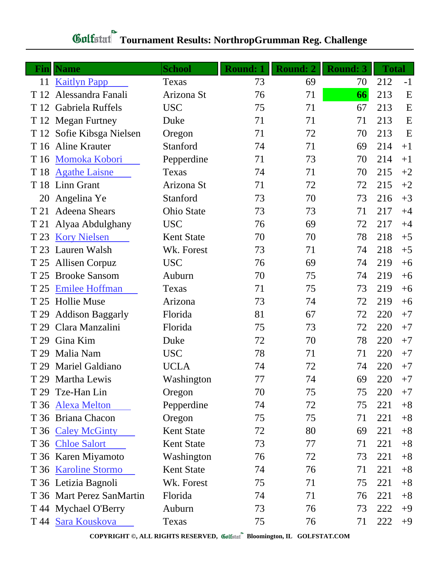## **Tournament Results: NorthropGrumman Reg. Challenge**

|      | <b>Fin</b>   Name         | <b>School</b>     | <b>Round: 1</b> | <b>Round: 2</b> | <b>Round: 3</b> | <b>Total</b> |             |
|------|---------------------------|-------------------|-----------------|-----------------|-----------------|--------------|-------------|
| 11   | <b>Kaitlyn Papp</b>       | Texas             | 73              | 69              | 70              | 212          | $-1$        |
| T 12 | Alessandra Fanali         | Arizona St        | 76              | 71              | 66              | 213          | $\mathbf E$ |
| T 12 | Gabriela Ruffels          | <b>USC</b>        | 75              | 71              | 67              | 213          | E           |
|      | T 12 Megan Furtney        | Duke              | 71              | 71              | 71              | 213          | E           |
|      | T 12 Sofie Kibsga Nielsen | Oregon            | 71              | 72              | 70              | 213          | E           |
| T 16 | <b>Aline Krauter</b>      | Stanford          | 74              | 71              | 69              | 214          | $+1$        |
| T 16 | Momoka Kobori             | Pepperdine        | 71              | 73              | 70              | 214          | $+1$        |
| T 18 | <b>Agathe Laisne</b>      | Texas             | 74              | 71              | 70              | 215          | $+2$        |
|      | T 18 Linn Grant           | Arizona St        | 71              | 72              | 72              | 215          | $+2$        |
| 20   | Angelina Ye               | Stanford          | 73              | 70              | 73              | 216          | $+3$        |
| T 21 | <b>Adeena Shears</b>      | Ohio State        | 73              | 73              | 71              | 217          | $+4$        |
| T 21 | Alyaa Abdulghany          | <b>USC</b>        | 76              | 69              | 72              | 217          | $+4$        |
| T 23 | <b>Kory Nielsen</b>       | <b>Kent State</b> | 70              | 70              | 78              | 218          | $+5$        |
| T 23 | Lauren Walsh              | Wk. Forest        | 73              | 71              | 74              | 218          | $+5$        |
| T 25 | <b>Allisen Corpuz</b>     | <b>USC</b>        | 76              | 69              | 74              | 219          | $+6$        |
| T 25 | <b>Brooke Sansom</b>      | Auburn            | 70              | 75              | 74              | 219          | $+6$        |
| T 25 | <b>Emilee Hoffman</b>     | Texas             | 71              | 75              | 73              | 219          | $+6$        |
| T 25 | <b>Hollie Muse</b>        | Arizona           | 73              | 74              | 72              | 219          | $+6$        |
| T 29 | <b>Addison Baggarly</b>   | Florida           | 81              | 67              | 72              | 220          | $+7$        |
| T 29 | Clara Manzalini           | Florida           | 75              | 73              | 72              | 220          | $+7$        |
| T 29 | Gina Kim                  | Duke              | 72              | 70              | 78              | 220          | $+7$        |
| T 29 | Malia Nam                 | <b>USC</b>        | 78              | 71              | 71              | 220          | $+7$        |
| T 29 | Mariel Galdiano           | <b>UCLA</b>       | 74              | 72              | 74              | 220          | $+7$        |
|      | T 29 Martha Lewis         | Washington        | 77              | 74              | 69              | 220          | $+7$        |
| T 29 | Tze-Han Lin               | Oregon            | 70              | 75              | 75              | 220          | $+7$        |
|      | T 36 Alexa Melton         | Pepperdine        | 74              | 72              | 75              | 221          | $+8$        |
|      | T 36 Briana Chacon        | Oregon            | 75              | 75              | 71              | 221          | $+8$        |
|      | T 36 Caley McGinty        | <b>Kent State</b> | 72              | 80              | 69              | 221          | $+8$        |
|      | T 36 Chloe Salort         | <b>Kent State</b> | 73              | 77              | 71              | 221          | $+8$        |
|      | T 36 Karen Miyamoto       | Washington        | 76              | 72              | 73              | 221          | $+8$        |
|      | T 36 Karoline Stormo      | <b>Kent State</b> | 74              | 76              | 71              | 221          | $+8$        |
|      | T 36 Letizia Bagnoli      | Wk. Forest        | 75              | 71              | 75              | 221          | $+8$        |
|      | T 36 Mart Perez SanMartin | Florida           | 74              | 71              | 76              | 221          | $+8$        |
|      | T 44 Mychael O'Berry      | Auburn            | 73              | 76              | 73              | 222          | $+9$        |
|      | T 44 Sara Kouskova        | Texas             | 75              | 76              | 71              | 222          | $+9$        |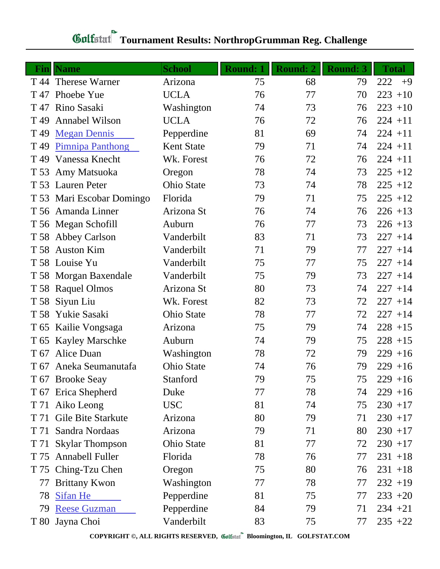## **Tournament Results: NorthropGrumman Reg. Challenge**

| Finll           | <b>Name</b>               | <b>School</b>     | <b>Round: 1</b> | <b>Round: 2</b> | <b>Round: 3</b> | <b>Total</b> |
|-----------------|---------------------------|-------------------|-----------------|-----------------|-----------------|--------------|
|                 | T 44 Therese Warner       | Arizona           | 75              | 68              | 79              | 222<br>$+9$  |
| T 47            | Phoebe Yue                | <b>UCLA</b>       | 76              | 77              | 70              | $223 + 10$   |
| T 47            | Rino Sasaki               | Washington        | 74              | 73              | 76              | $223 + 10$   |
| T 49            | <b>Annabel Wilson</b>     | <b>UCLA</b>       | 76              | 72              | 76              | $224 + 11$   |
| T 49            | <b>Megan Dennis</b>       | Pepperdine        | 81              | 69              | 74              | $224 + 11$   |
| T <sub>49</sub> | <b>Pimnipa Panthong</b>   | <b>Kent State</b> | 79              | 71              | 74              | $224 + 11$   |
| T 49            | Vanessa Knecht            | Wk. Forest        | 76              | 72              | 76              | $224 + 11$   |
| T 53            | Amy Matsuoka              | Oregon            | 78              | 74              | 73              | $225 + 12$   |
|                 | T 53 Lauren Peter         | <b>Ohio State</b> | 73              | 74              | 78              | $225 + 12$   |
|                 | T 53 Mari Escobar Domingo | Florida           | 79              | 71              | 75              | $225 + 12$   |
|                 | T 56 Amanda Linner        | Arizona St        | 76              | 74              | 76              | $226 + 13$   |
|                 | T 56 Megan Schofill       | Auburn            | 76              | 77              | 73              | $226 + 13$   |
|                 | T 58 Abbey Carlson        | Vanderbilt        | 83              | 71              | 73              | $227 + 14$   |
|                 | T 58 Auston Kim           | Vanderbilt        | 71              | 79              | 77              | $227 + 14$   |
|                 | T 58 Louise Yu            | Vanderbilt        | 75              | 77              | 75              | $227 + 14$   |
|                 | T 58 Morgan Baxendale     | Vanderbilt        | 75              | 79              | 73              | $227 + 14$   |
|                 | T 58 Raquel Olmos         | Arizona St        | 80              | 73              | 74              | $227 + 14$   |
| T 58            | Siyun Liu                 | Wk. Forest        | 82              | 73              | 72              | $227 + 14$   |
|                 | T 58 Yukie Sasaki         | <b>Ohio State</b> | 78              | 77              | 72              | $227 + 14$   |
|                 | T 65 Kailie Vongsaga      | Arizona           | 75              | 79              | 74              | $228 + 15$   |
|                 | T 65 Kayley Marschke      | Auburn            | 74              | 79              | 75              | $228 + 15$   |
| T 67            | Alice Duan                | Washington        | 78              | 72              | 79              | $229 + 16$   |
|                 | T 67 Aneka Seumanutafa    | <b>Ohio State</b> | 74              | 76              | 79              | $229 + 16$   |
|                 | T 67 Brooke Seay          | Stanford          | 79              | 75              | 75              | $229 + 16$   |
|                 | T 67 Erica Shepherd       | Duke              | 77              | 78              | 74              | $229 + 16$   |
|                 | T 71 Aiko Leong           | <b>USC</b>        | 81              | 74              | 75              | $230 + 17$   |
| T 71            | Gile Bite Starkute        | Arizona           | 80              | 79              | 71              | $230 + 17$   |
| T 71            | Sandra Nordaas            | Arizona           | 79              | 71              | 80              | $230 + 17$   |
| T 71            | <b>Skylar Thompson</b>    | Ohio State        | 81              | 77              | 72              | $230 + 17$   |
| T 75            | <b>Annabell Fuller</b>    | Florida           | 78              | 76              | 77              | $231 + 18$   |
|                 | T 75 Ching-Tzu Chen       | Oregon            | 75              | 80              | 76              | $231 + 18$   |
| 77              | <b>Brittany Kwon</b>      | Washington        | 77              | 78              | 77              | $232 + 19$   |
| 78              | <b>Sifan He</b>           | Pepperdine        | 81              | 75              | 77              | $233 + 20$   |
| 79              | <b>Reese Guzman</b>       | Pepperdine        | 84              | 79              | 71              | $234 + 21$   |
|                 | T 80 Jayna Choi           | Vanderbilt        | 83              | 75              | 77              | $235 +22$    |